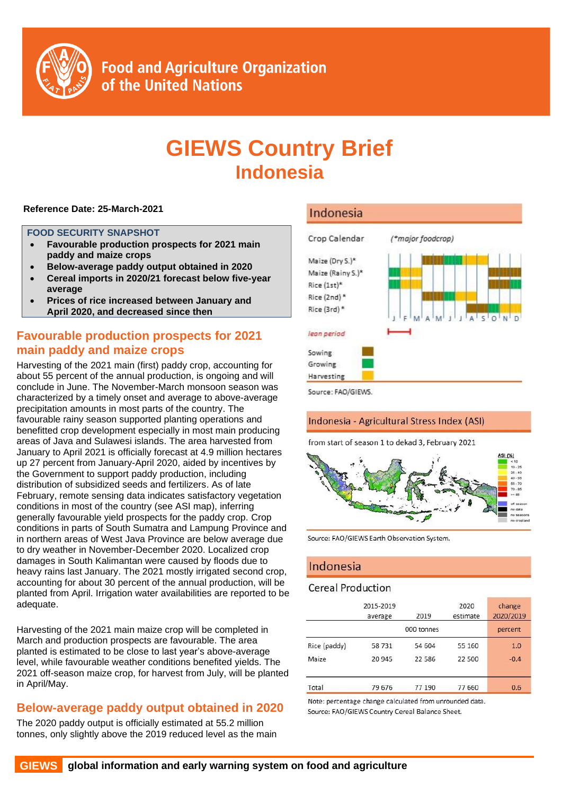

# **GIEWS Country Brief Indonesia**

#### **Reference Date: 25-March-2021**

#### **FOOD SECURITY SNAPSHOT**

- **Favourable production prospects for 2021 main paddy and maize crops**
- **Below-average paddy output obtained in 2020**
- **Cereal imports in 2020/21 forecast below five-year average**
- **Prices of rice increased between January and April 2020, and decreased since then**

## **Favourable production prospects for 2021 main paddy and maize crops**

Harvesting of the 2021 main (first) paddy crop, accounting for about 55 percent of the annual production, is ongoing and will conclude in June. The November-March monsoon season was characterized by a timely onset and average to above-average precipitation amounts in most parts of the country. The favourable rainy season supported planting operations and benefitted crop development especially in most main producing areas of Java and Sulawesi islands. The area harvested from January to April 2021 is officially forecast at 4.9 million hectares up 27 percent from January-April 2020, aided by incentives by the Government to support paddy production, including distribution of subsidized seeds and fertilizers. As of late February, remote sensing data indicates satisfactory vegetation conditions in most of the country (see ASI map), inferring generally favourable yield prospects for the paddy crop. Crop conditions in parts of South Sumatra and Lampung Province and in northern areas of West Java Province are below average due to dry weather in November-December 2020. Localized crop damages in South Kalimantan were caused by floods due to heavy rains last January. The 2021 mostly irrigated second crop, accounting for about 30 percent of the annual production, will be planted from April. Irrigation water availabilities are reported to be adequate.

Harvesting of the 2021 main maize crop will be completed in March and production prospects are favourable. The area planted is estimated to be close to last year's above-average level, while favourable weather conditions benefited yields. The 2021 off-season maize crop, for harvest from July, will be planted in April/May.

## **Below-average paddy output obtained in 2020**

The 2020 paddy output is officially estimated at 55.2 million tonnes, only slightly above the 2019 reduced level as the main

## Indonesia



Source: FAO/GIEWS.

### Indonesia - Agricultural Stress Index (ASI)

from start of season 1 to dekad 3, February 2021



Source: FAO/GIEWS Earth Observation System.

## Indonesia

#### **Cereal Production**

|              | 2015-2019<br>average | 2019       | 2020<br>estimate | change<br>2020/2019 |
|--------------|----------------------|------------|------------------|---------------------|
|              |                      | 000 tonnes |                  | percent             |
| Rice (paddy) | 58 731               | 54 604     | 55 160           | 1.0                 |
| Maize        | 20 945               | 22 5 8 6   | 22 500           | $-0.4$              |
| Total        | 79 676               | 77 190     | 77 660           | 0.6                 |

Note: percentage change calculated from unrounded data. Source: FAO/GIEWS Country Cereal Balance Sheet.